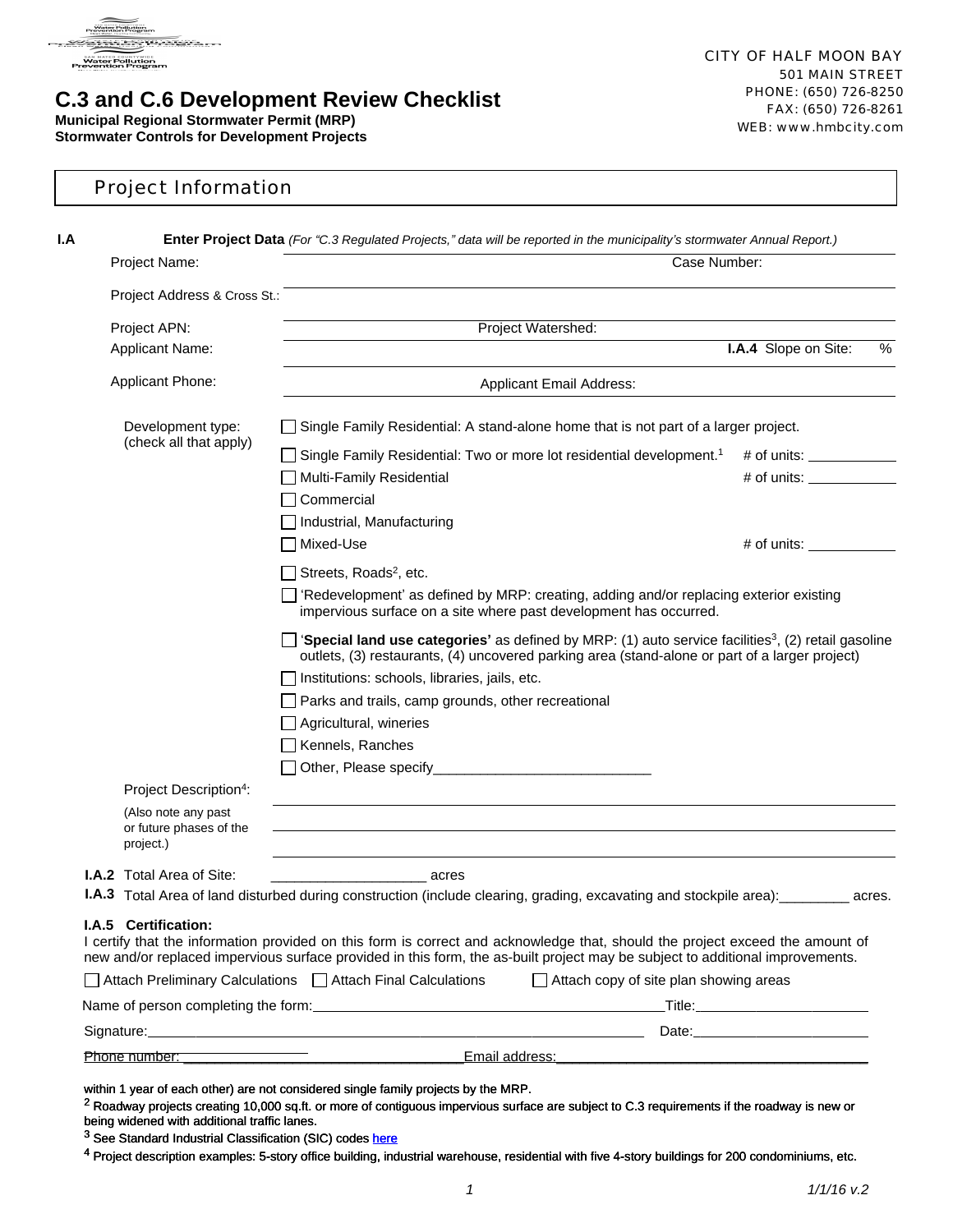

# **C.3 and C.6 Development Review Checklist**

**Municipal Regional Stormwater Permit (MRP) Stormwater Controls for Development Projects**

| Project Information |
|---------------------|
|---------------------|

|  | <b>Enter Project Data</b> (For "C.3 Regulated Projects," data will be reported in the municipality's stormwater Annual Report.) |                                                                                                                                                                                                                                                                                                                                                    |                      |        |  |  |  |  |
|--|---------------------------------------------------------------------------------------------------------------------------------|----------------------------------------------------------------------------------------------------------------------------------------------------------------------------------------------------------------------------------------------------------------------------------------------------------------------------------------------------|----------------------|--------|--|--|--|--|
|  | Project Name:                                                                                                                   | Case Number:                                                                                                                                                                                                                                                                                                                                       |                      |        |  |  |  |  |
|  | Project Address & Cross St.:                                                                                                    |                                                                                                                                                                                                                                                                                                                                                    |                      |        |  |  |  |  |
|  | Project APN:                                                                                                                    | Project Watershed:                                                                                                                                                                                                                                                                                                                                 |                      |        |  |  |  |  |
|  | Applicant Name:                                                                                                                 |                                                                                                                                                                                                                                                                                                                                                    | I.A.4 Slope on Site: | %      |  |  |  |  |
|  | Applicant Phone:                                                                                                                | <b>Applicant Email Address:</b>                                                                                                                                                                                                                                                                                                                    |                      |        |  |  |  |  |
|  | Development type:                                                                                                               | Single Family Residential: A stand-alone home that is not part of a larger project.                                                                                                                                                                                                                                                                |                      |        |  |  |  |  |
|  | (check all that apply)                                                                                                          | Single Family Residential: Two or more lot residential development. <sup>1</sup>                                                                                                                                                                                                                                                                   | $#$ of units:        |        |  |  |  |  |
|  |                                                                                                                                 | Multi-Family Residential                                                                                                                                                                                                                                                                                                                           | $#$ of units:        |        |  |  |  |  |
|  |                                                                                                                                 | Commercial                                                                                                                                                                                                                                                                                                                                         |                      |        |  |  |  |  |
|  |                                                                                                                                 | Industrial, Manufacturing                                                                                                                                                                                                                                                                                                                          |                      |        |  |  |  |  |
|  |                                                                                                                                 | Mixed-Use                                                                                                                                                                                                                                                                                                                                          | $#$ of units:        |        |  |  |  |  |
|  |                                                                                                                                 | Streets, Roads <sup>2</sup> , etc.                                                                                                                                                                                                                                                                                                                 |                      |        |  |  |  |  |
|  |                                                                                                                                 | 'Redevelopment' as defined by MRP: creating, adding and/or replacing exterior existing<br>impervious surface on a site where past development has occurred.                                                                                                                                                                                        |                      |        |  |  |  |  |
|  |                                                                                                                                 | 'Special land use categories' as defined by MRP: (1) auto service facilities <sup>3</sup> , (2) retail gasoline<br>outlets, (3) restaurants, (4) uncovered parking area (stand-alone or part of a larger project)<br>Institutions: schools, libraries, jails, etc.<br>Parks and trails, camp grounds, other recreational<br>Agricultural, wineries |                      |        |  |  |  |  |
|  |                                                                                                                                 | Kennels, Ranches                                                                                                                                                                                                                                                                                                                                   |                      |        |  |  |  |  |
|  |                                                                                                                                 |                                                                                                                                                                                                                                                                                                                                                    |                      |        |  |  |  |  |
|  | Project Description <sup>4</sup> :                                                                                              |                                                                                                                                                                                                                                                                                                                                                    |                      |        |  |  |  |  |
|  | (Also note any past<br>or future phases of the<br>project.)                                                                     |                                                                                                                                                                                                                                                                                                                                                    |                      |        |  |  |  |  |
|  | <b>I.A.2</b> Total Area of Site:                                                                                                | acres                                                                                                                                                                                                                                                                                                                                              |                      |        |  |  |  |  |
|  |                                                                                                                                 | <b>I.A.3</b> Total Area of land disturbed during construction (include clearing, grading, excavating and stockpile area):                                                                                                                                                                                                                          |                      | acres. |  |  |  |  |
|  | I.A.5 Certification:                                                                                                            | I certify that the information provided on this form is correct and acknowledge that, should the project exceed the amount of<br>new and/or replaced impervious surface provided in this form, the as-built project may be subject to additional improvements.                                                                                     |                      |        |  |  |  |  |
|  |                                                                                                                                 | □ Attach Preliminary Calculations □ Attach Final Calculations<br>Attach copy of site plan showing areas                                                                                                                                                                                                                                            |                      |        |  |  |  |  |
|  |                                                                                                                                 |                                                                                                                                                                                                                                                                                                                                                    |                      |        |  |  |  |  |
|  |                                                                                                                                 | Signature: Date: Discovery and the set of the set of the set of the set of the set of the set of the set of the set of the set of the set of the set of the set of the set of the set of the set of the set of the set of the                                                                                                                      |                      |        |  |  |  |  |
|  |                                                                                                                                 |                                                                                                                                                                                                                                                                                                                                                    |                      |        |  |  |  |  |

within 1 year of each other) are not considered single family projects by the MRP.

<sup>2</sup> Roadway projects creating 10,000 sq.ft. or more of contiguous impervious surface are subject to C.3 requirements if the roadway is new or being widened with additional traffic lanes.

<sup>3</sup> See Standard Industrial Classification (SIC) codes [here](http://www.flowstobay.org/documents/business/new-development/Notice_to_Applicants-LID_FINAL.doc)

4 Project description examples: 5-story office building, industrial warehouse, residential with five 4-story buildings for 200 condominiums, etc.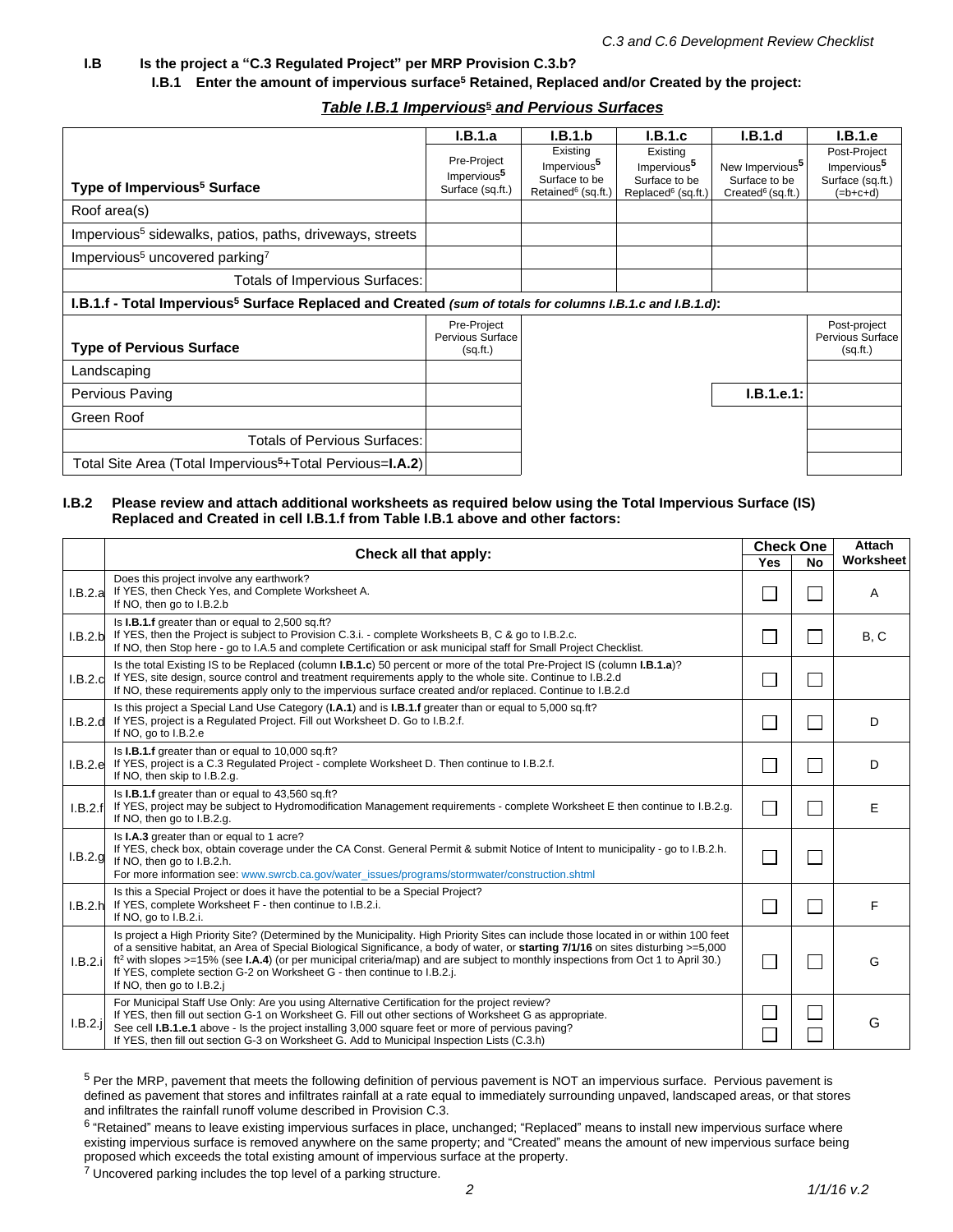#### **I.B Is the project a "C.3 Regulated Project" per MRP Provision C.3.b?**

**I.B.1 Enter the amount of impervious surface<sup>5</sup> Retained, Replaced and/or Created by the project:**

### *Table I.B.1 Impervious***<sup>5</sup>**  *and Pervious Surfaces*

|                                                                                                                       | I.B.1.a                                                    | I.B.1.b                                                                                | I.B.1.c                                                                                | I.B.1.d                                                                       | I.B.1.e                                                                   |
|-----------------------------------------------------------------------------------------------------------------------|------------------------------------------------------------|----------------------------------------------------------------------------------------|----------------------------------------------------------------------------------------|-------------------------------------------------------------------------------|---------------------------------------------------------------------------|
| Type of Impervious <sup>5</sup> Surface                                                                               | Pre-Project<br>Impervious <sup>5</sup><br>Surface (sq.ft.) | Existing<br>Impervious <sup>5</sup><br>Surface to be<br>Retained <sup>6</sup> (sq.ft.) | Existing<br>Impervious <sup>5</sup><br>Surface to be<br>Replaced <sup>6</sup> (sq.ft.) | New Impervious <sup>5</sup><br>Surface to be<br>Created <sup>6</sup> (sq.ft.) | Post-Project<br>Impervious <sup>5</sup><br>Surface (sq.ft.)<br>$(=b+c+d)$ |
| Roof area(s)                                                                                                          |                                                            |                                                                                        |                                                                                        |                                                                               |                                                                           |
| Impervious <sup>5</sup> sidewalks, patios, paths, driveways, streets                                                  |                                                            |                                                                                        |                                                                                        |                                                                               |                                                                           |
| Impervious <sup>5</sup> uncovered parking <sup>7</sup>                                                                |                                                            |                                                                                        |                                                                                        |                                                                               |                                                                           |
| Totals of Impervious Surfaces:                                                                                        |                                                            |                                                                                        |                                                                                        |                                                                               |                                                                           |
| I.B.1.f - Total Impervious <sup>5</sup> Surface Replaced and Created (sum of totals for columns I.B.1.c and I.B.1.d): |                                                            |                                                                                        |                                                                                        |                                                                               |                                                                           |
| <b>Type of Pervious Surface</b>                                                                                       | Pre-Project<br>Pervious Surface<br>(sq ft.)                |                                                                                        |                                                                                        |                                                                               | Post-project<br>Pervious Surface<br>(sqft.)                               |
| Landscaping                                                                                                           |                                                            |                                                                                        |                                                                                        |                                                                               |                                                                           |
| Pervious Paving                                                                                                       |                                                            |                                                                                        |                                                                                        | I.B.1.e.1:                                                                    |                                                                           |
| Green Roof                                                                                                            |                                                            |                                                                                        |                                                                                        |                                                                               |                                                                           |
| <b>Totals of Pervious Surfaces:</b>                                                                                   |                                                            |                                                                                        |                                                                                        |                                                                               |                                                                           |
| Total Site Area (Total Impervious <sup>5</sup> +Total Pervious= <b>I.A.2)</b>                                         |                                                            |                                                                                        |                                                                                        |                                                                               |                                                                           |

#### **I.B.2 Please review and attach additional worksheets as required below using the Total Impervious Surface (IS) Replaced and Created in cell I.B.1.f from Table I.B.1 above and other factors:**

|         | Check all that apply:                                                                                                                                                                                                                                                                                                                                                                                                                                                                                                                         | <b>Check One</b>         |               | <b>Attach</b> |
|---------|-----------------------------------------------------------------------------------------------------------------------------------------------------------------------------------------------------------------------------------------------------------------------------------------------------------------------------------------------------------------------------------------------------------------------------------------------------------------------------------------------------------------------------------------------|--------------------------|---------------|---------------|
|         |                                                                                                                                                                                                                                                                                                                                                                                                                                                                                                                                               | <b>Yes</b>               | <b>No</b>     | Worksheet     |
| I.B.2.a | Does this project involve any earthwork?<br>If YES, then Check Yes, and Complete Worksheet A.<br>If NO, then go to I.B.2.b                                                                                                                                                                                                                                                                                                                                                                                                                    |                          |               | A             |
| I.B.2.b | Is I.B.1.f greater than or equal to 2,500 sq.ft?<br>If YES, then the Project is subject to Provision C.3.i. - complete Worksheets B, C & go to I.B.2.c.<br>If NO, then Stop here - go to I.A.5 and complete Certification or ask municipal staff for Small Project Checklist.                                                                                                                                                                                                                                                                 |                          | $\mathcal{L}$ | B, C          |
| I.B.2.c | Is the total Existing IS to be Replaced (column <b>I.B.1.c</b> ) 50 percent or more of the total Pre-Project IS (column <b>I.B.1.a</b> )?<br>If YES, site design, source control and treatment requirements apply to the whole site. Continue to I.B.2.d<br>If NO, these requirements apply only to the impervious surface created and/or replaced. Continue to I.B.2.d                                                                                                                                                                       |                          |               |               |
| I.B.2.d | Is this project a Special Land Use Category (I.A.1) and is <b>I.B.1.f</b> greater than or equal to 5,000 sq.ft?<br>If YES, project is a Regulated Project. Fill out Worksheet D. Go to I.B.2.f.<br>If NO, go to I.B.2.e                                                                                                                                                                                                                                                                                                                       |                          | $\mathcal{L}$ | D             |
|         | Is I.B.1.f greater than or equal to 10,000 sq.ft?<br>I.B.2.e If YES, project is a C.3 Regulated Project - complete Worksheet D. Then continue to I.B.2.f.<br>If NO, then skip to I.B.2.g.                                                                                                                                                                                                                                                                                                                                                     |                          | $\mathcal{L}$ | D             |
| I.B.2.f | Is I.B.1.f greater than or equal to 43,560 sq.ft?<br>If YES, project may be subject to Hydromodification Management requirements - complete Worksheet E then continue to I.B.2.g.<br>If NO, then go to I.B.2.g.                                                                                                                                                                                                                                                                                                                               | $\overline{\phantom{a}}$ | $\mathcal{L}$ | E             |
| I.B.2.g | Is I.A.3 greater than or equal to 1 acre?<br>If YES, check box, obtain coverage under the CA Const. General Permit & submit Notice of Intent to municipality - go to I.B.2.h.<br>If NO, then go to I.B.2.h.<br>For more information see: www.swrcb.ca.gov/water_issues/programs/stormwater/construction.shtml                                                                                                                                                                                                                                 |                          |               |               |
| I.B.2.h | Is this a Special Project or does it have the potential to be a Special Project?<br>If YES, complete Worksheet F - then continue to I.B.2.i.<br>If NO, go to I.B.2.i.                                                                                                                                                                                                                                                                                                                                                                         |                          | $\mathcal{L}$ | F             |
| I.B.2.i | Is project a High Priority Site? (Determined by the Municipality. High Priority Sites can include those located in or within 100 feet<br>of a sensitive habitat, an Area of Special Biological Significance, a body of water, or starting 7/1/16 on sites disturbing >=5,000<br>ft <sup>2</sup> with slopes >=15% (see <b>I.A.4</b> ) (or per municipal criteria/map) and are subject to monthly inspections from Oct 1 to April 30.)<br>If YES, complete section G-2 on Worksheet G - then continue to I.B.2.j.<br>If NO, then go to I.B.2.i | $\mathcal{L}$            |               | G             |
| .B.2.   | For Municipal Staff Use Only: Are you using Alternative Certification for the project review?<br>If YES, then fill out section G-1 on Worksheet G. Fill out other sections of Worksheet G as appropriate.<br>See cell <b>I.B.1.e.1</b> above - Is the project installing 3,000 square feet or more of pervious paving?<br>If YES, then fill out section G-3 on Worksheet G. Add to Municipal Inspection Lists (C.3.h)                                                                                                                         |                          |               | G             |

<sup>5</sup> Per the MRP, pavement that meets the following definition of pervious pavement is NOT an impervious surface. Pervious pavement is defined as pavement that stores and infiltrates rainfall at a rate equal to immediately surrounding unpaved, landscaped areas, or that stores and infiltrates the rainfall runoff volume described in Provision C.3.

<sup>6</sup> "Retained" means to leave existing impervious surfaces in place, unchanged; "Replaced" means to install new impervious surface where existing impervious surface is removed anywhere on the same property; and "Created" means the amount of new impervious surface being proposed which exceeds the total existing amount of impervious surface at the property.

 $7$  Uncovered parking includes the top level of a parking structure.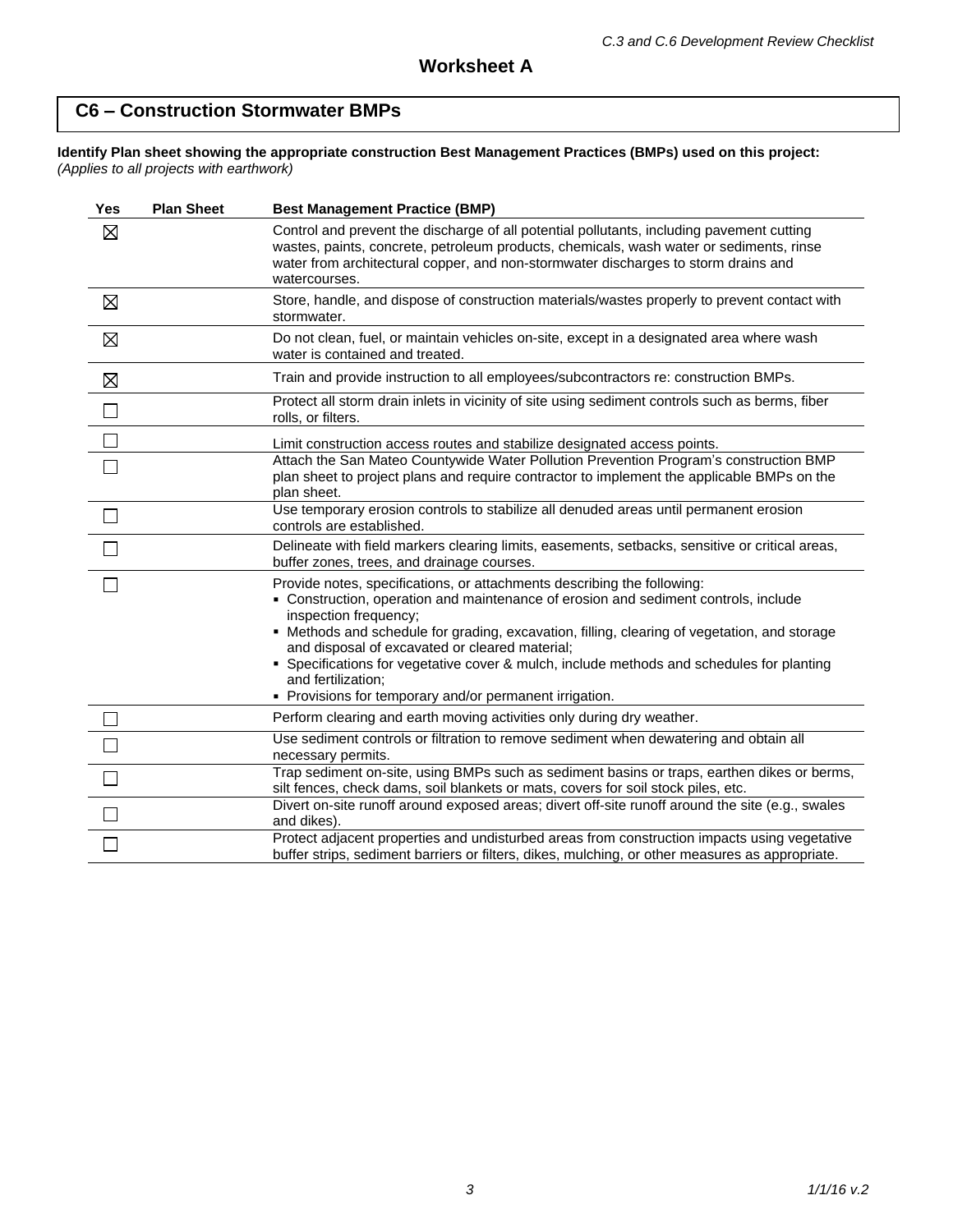# **C6 – Construction Stormwater BMPs**

#### **Identify Plan sheet showing the appropriate construction Best Management Practices (BMPs) used on this project:** *(Applies to all projects with earthwork)*

| Yes         | <b>Plan Sheet</b> | <b>Best Management Practice (BMP)</b>                                                                                                                                                                                                                                                                                                                                                                                                                                                                                   |
|-------------|-------------------|-------------------------------------------------------------------------------------------------------------------------------------------------------------------------------------------------------------------------------------------------------------------------------------------------------------------------------------------------------------------------------------------------------------------------------------------------------------------------------------------------------------------------|
| $\boxtimes$ |                   | Control and prevent the discharge of all potential pollutants, including pavement cutting<br>wastes, paints, concrete, petroleum products, chemicals, wash water or sediments, rinse<br>water from architectural copper, and non-stormwater discharges to storm drains and<br>watercourses.                                                                                                                                                                                                                             |
| $\boxtimes$ |                   | Store, handle, and dispose of construction materials/wastes properly to prevent contact with<br>stormwater.                                                                                                                                                                                                                                                                                                                                                                                                             |
| $\boxtimes$ |                   | Do not clean, fuel, or maintain vehicles on-site, except in a designated area where wash<br>water is contained and treated.                                                                                                                                                                                                                                                                                                                                                                                             |
| $\boxtimes$ |                   | Train and provide instruction to all employees/subcontractors re: construction BMPs.                                                                                                                                                                                                                                                                                                                                                                                                                                    |
| $\Box$      |                   | Protect all storm drain inlets in vicinity of site using sediment controls such as berms, fiber<br>rolls, or filters.                                                                                                                                                                                                                                                                                                                                                                                                   |
|             |                   | Limit construction access routes and stabilize designated access points.                                                                                                                                                                                                                                                                                                                                                                                                                                                |
|             |                   | Attach the San Mateo Countywide Water Pollution Prevention Program's construction BMP<br>plan sheet to project plans and require contractor to implement the applicable BMPs on the<br>plan sheet.                                                                                                                                                                                                                                                                                                                      |
| $\Box$      |                   | Use temporary erosion controls to stabilize all denuded areas until permanent erosion<br>controls are established.                                                                                                                                                                                                                                                                                                                                                                                                      |
|             |                   | Delineate with field markers clearing limits, easements, setbacks, sensitive or critical areas,<br>buffer zones, trees, and drainage courses.                                                                                                                                                                                                                                                                                                                                                                           |
|             |                   | Provide notes, specifications, or attachments describing the following:<br>• Construction, operation and maintenance of erosion and sediment controls, include<br>inspection frequency;<br>• Methods and schedule for grading, excavation, filling, clearing of vegetation, and storage<br>and disposal of excavated or cleared material;<br>• Specifications for vegetative cover & mulch, include methods and schedules for planting<br>and fertilization;<br>• Provisions for temporary and/or permanent irrigation. |
|             |                   | Perform clearing and earth moving activities only during dry weather.                                                                                                                                                                                                                                                                                                                                                                                                                                                   |
|             |                   | Use sediment controls or filtration to remove sediment when dewatering and obtain all<br>necessary permits.                                                                                                                                                                                                                                                                                                                                                                                                             |
|             |                   | Trap sediment on-site, using BMPs such as sediment basins or traps, earthen dikes or berms,<br>silt fences, check dams, soil blankets or mats, covers for soil stock piles, etc.                                                                                                                                                                                                                                                                                                                                        |
|             |                   | Divert on-site runoff around exposed areas; divert off-site runoff around the site (e.g., swales<br>and dikes).                                                                                                                                                                                                                                                                                                                                                                                                         |
|             |                   | Protect adjacent properties and undisturbed areas from construction impacts using vegetative<br>buffer strips, sediment barriers or filters, dikes, mulching, or other measures as appropriate.                                                                                                                                                                                                                                                                                                                         |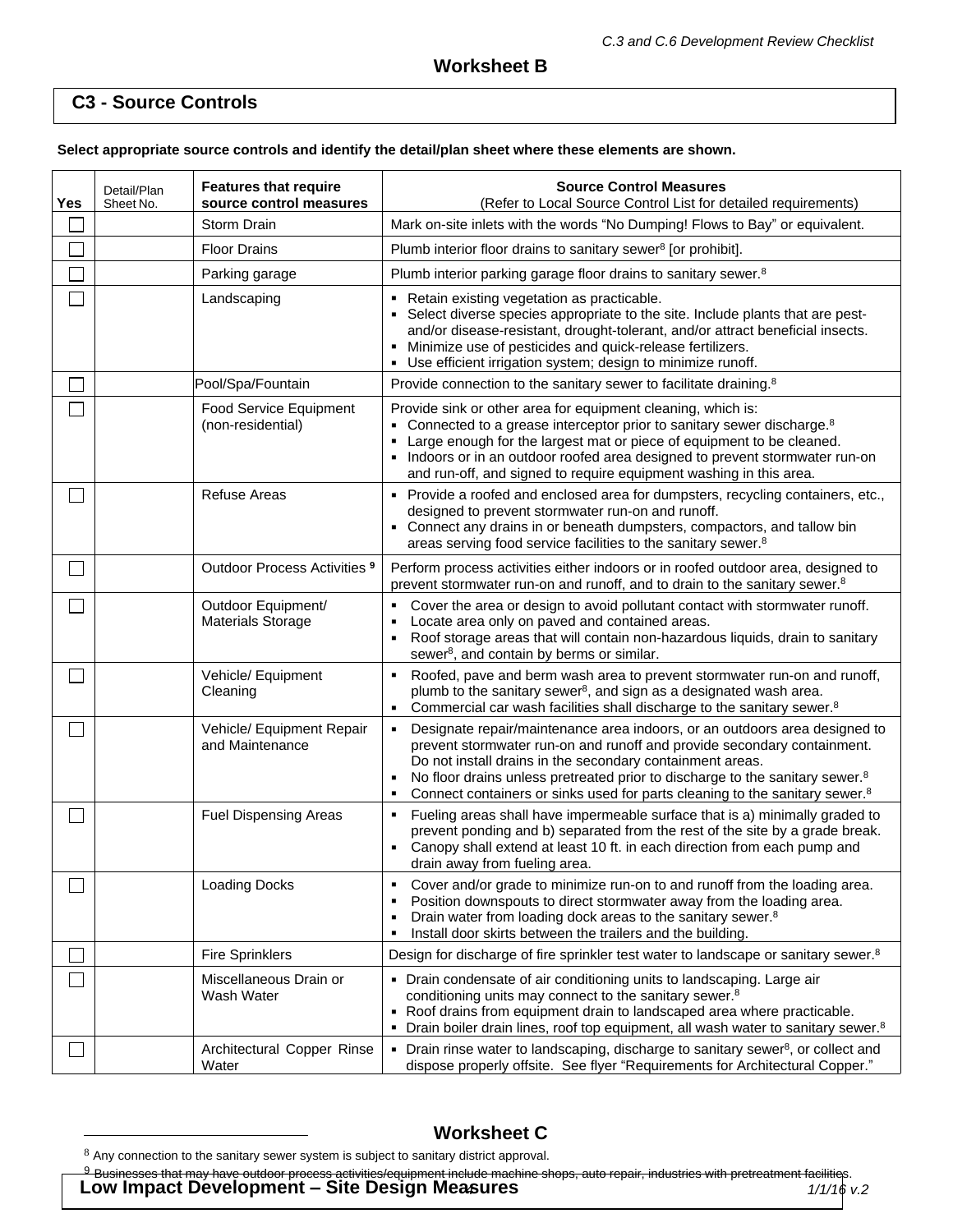# **C3 - Source Controls**

**Select appropriate source controls and identify the detail/plan sheet where these elements are shown.** 

| Yes            | Detail/Plan<br>Sheet No. | <b>Features that require</b><br>source control measures | <b>Source Control Measures</b><br>(Refer to Local Source Control List for detailed requirements)                                                                                                                                                                                                                                                                                                                         |
|----------------|--------------------------|---------------------------------------------------------|--------------------------------------------------------------------------------------------------------------------------------------------------------------------------------------------------------------------------------------------------------------------------------------------------------------------------------------------------------------------------------------------------------------------------|
|                |                          | Storm Drain                                             | Mark on-site inlets with the words "No Dumping! Flows to Bay" or equivalent.                                                                                                                                                                                                                                                                                                                                             |
|                |                          | <b>Floor Drains</b>                                     | Plumb interior floor drains to sanitary sewer <sup>8</sup> [or prohibit].                                                                                                                                                                                                                                                                                                                                                |
|                |                          | Parking garage                                          | Plumb interior parking garage floor drains to sanitary sewer. <sup>8</sup>                                                                                                                                                                                                                                                                                                                                               |
|                |                          | Landscaping                                             | - Retain existing vegetation as practicable.<br>Select diverse species appropriate to the site. Include plants that are pest-<br>and/or disease-resistant, drought-tolerant, and/or attract beneficial insects.<br>Minimize use of pesticides and quick-release fertilizers.<br>Use efficient irrigation system; design to minimize runoff.                                                                              |
|                |                          | Pool/Spa/Fountain                                       | Provide connection to the sanitary sewer to facilitate draining. <sup>8</sup>                                                                                                                                                                                                                                                                                                                                            |
|                |                          | Food Service Equipment<br>(non-residential)             | Provide sink or other area for equipment cleaning, which is:<br>• Connected to a grease interceptor prior to sanitary sewer discharge. <sup>8</sup><br>Large enough for the largest mat or piece of equipment to be cleaned.<br>• Indoors or in an outdoor roofed area designed to prevent stormwater run-on<br>and run-off, and signed to require equipment washing in this area.                                       |
|                |                          | <b>Refuse Areas</b>                                     | • Provide a roofed and enclosed area for dumpsters, recycling containers, etc.,<br>designed to prevent stormwater run-on and runoff.<br>• Connect any drains in or beneath dumpsters, compactors, and tallow bin<br>areas serving food service facilities to the sanitary sewer. <sup>8</sup>                                                                                                                            |
| $\blacksquare$ |                          | Outdoor Process Activities 9                            | Perform process activities either indoors or in roofed outdoor area, designed to<br>prevent stormwater run-on and runoff, and to drain to the sanitary sewer. <sup>8</sup>                                                                                                                                                                                                                                               |
|                |                          | Outdoor Equipment/<br><b>Materials Storage</b>          | Cover the area or design to avoid pollutant contact with stormwater runoff.<br>Locate area only on paved and contained areas.<br>Roof storage areas that will contain non-hazardous liquids, drain to sanitary<br>sewer <sup>8</sup> , and contain by berms or similar.                                                                                                                                                  |
|                |                          | Vehicle/ Equipment<br>Cleaning                          | Roofed, pave and berm wash area to prevent stormwater run-on and runoff,<br>plumb to the sanitary sewer <sup>8</sup> , and sign as a designated wash area.<br>Commercial car wash facilities shall discharge to the sanitary sewer. <sup>8</sup><br>$\blacksquare$                                                                                                                                                       |
|                |                          | Vehicle/ Equipment Repair<br>and Maintenance            | Designate repair/maintenance area indoors, or an outdoors area designed to<br>٠<br>prevent stormwater run-on and runoff and provide secondary containment.<br>Do not install drains in the secondary containment areas.<br>No floor drains unless pretreated prior to discharge to the sanitary sewer. <sup>8</sup><br>٠<br>Connect containers or sinks used for parts cleaning to the sanitary sewer. <sup>8</sup><br>٠ |
|                |                          | <b>Fuel Dispensing Areas</b>                            | Fueling areas shall have impermeable surface that is a) minimally graded to<br>٠<br>prevent ponding and b) separated from the rest of the site by a grade break.<br>Canopy shall extend at least 10 ft. in each direction from each pump and<br>٠<br>drain away from fueling area.                                                                                                                                       |
|                |                          | <b>Loading Docks</b>                                    | Cover and/or grade to minimize run-on to and runoff from the loading area.<br>٠<br>Position downspouts to direct stormwater away from the loading area.<br>٠<br>Drain water from loading dock areas to the sanitary sewer. <sup>8</sup><br>Install door skirts between the trailers and the building.<br>٠                                                                                                               |
|                |                          | <b>Fire Sprinklers</b>                                  | Design for discharge of fire sprinkler test water to landscape or sanitary sewer. <sup>8</sup>                                                                                                                                                                                                                                                                                                                           |
|                |                          | Miscellaneous Drain or<br>Wash Water                    | • Drain condensate of air conditioning units to landscaping. Large air<br>conditioning units may connect to the sanitary sewer. <sup>8</sup><br>. Roof drains from equipment drain to landscaped area where practicable.<br>Drain boiler drain lines, roof top equipment, all wash water to sanitary sewer. <sup>8</sup>                                                                                                 |
|                |                          | Architectural Copper Rinse<br>Water                     | • Drain rinse water to landscaping, discharge to sanitary sewer <sup>8</sup> , or collect and<br>dispose properly offsite. See flyer "Requirements for Architectural Copper."                                                                                                                                                                                                                                            |

# **Worksheet C**

 $^9$  Businesses that may have outdoor process activities/equipment include machine shops, auto repair, industries with pretreatment facilities.

*4 1/1/16 v.2* **Low Impact Development – Site Design Measures**

 $8$  Any connection to the sanitary sewer system is subject to sanitary district approval.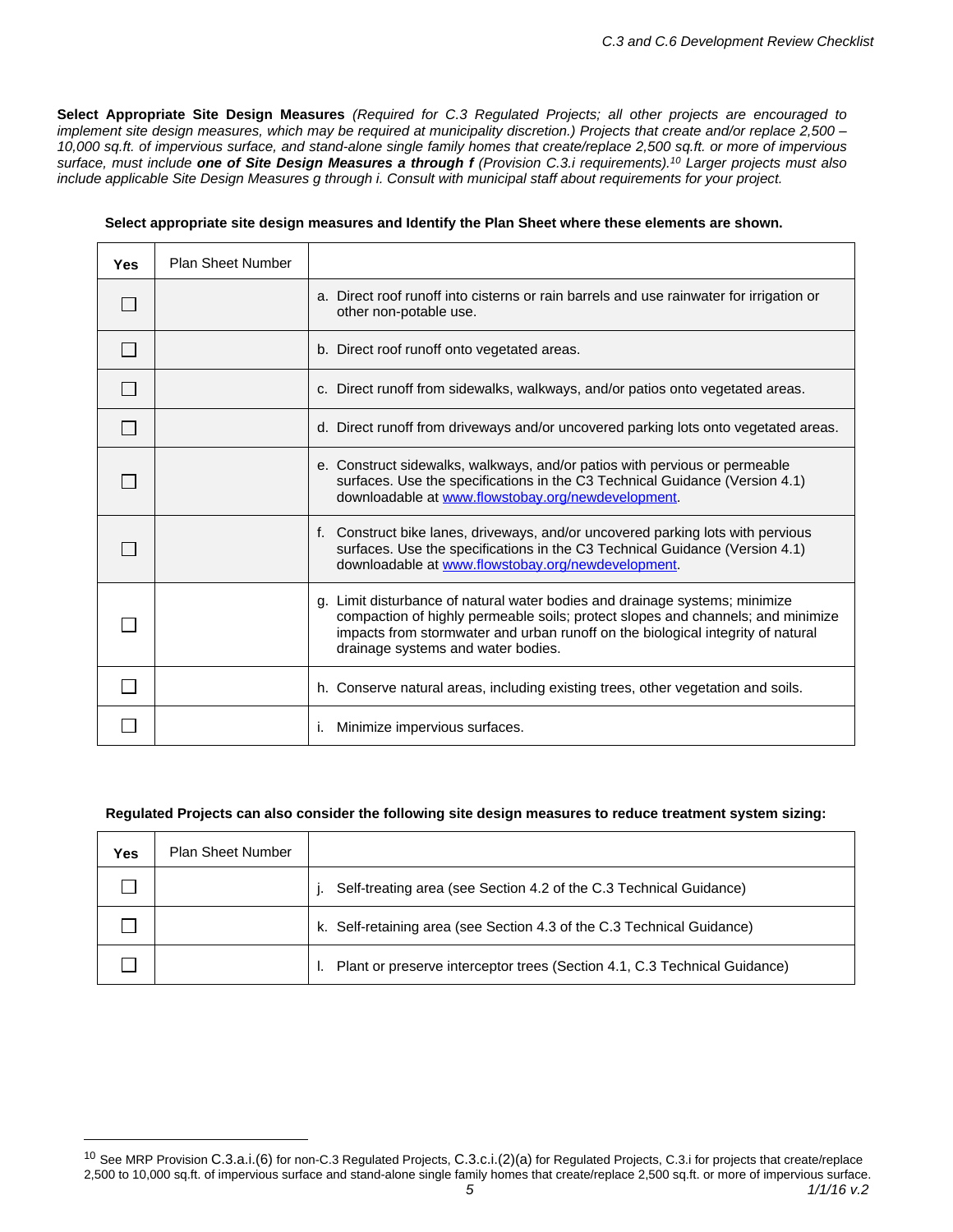Select Appropriate Site Design Measures (Required for C.3 Requlated Projects; all other projects are encouraged to implement site design measures, which may be required at municipality discretion.) Projects that create and/or replace 2,500 -10,000 sq.ft. of impervious surface, and stand-alone single family homes that create/replace 2,500 sq.ft. or more of impervious surface, must include one of Site Design Measures a through f (Provision C.3.i requirements).<sup>10</sup> Larger projects must also *include applicable Site Design Measures g through i. Consult with municipal staff about requirements for your project.*

| Yes | <b>Plan Sheet Number</b> |                                                                                                                                                                                                                                                                                         |
|-----|--------------------------|-----------------------------------------------------------------------------------------------------------------------------------------------------------------------------------------------------------------------------------------------------------------------------------------|
|     |                          | a. Direct roof runoff into cisterns or rain barrels and use rainwater for irrigation or<br>other non-potable use.                                                                                                                                                                       |
|     |                          | b. Direct roof runoff onto vegetated areas.                                                                                                                                                                                                                                             |
|     |                          | c. Direct runoff from sidewalks, walkways, and/or patios onto vegetated areas.                                                                                                                                                                                                          |
|     |                          | d. Direct runoff from driveways and/or uncovered parking lots onto vegetated areas.                                                                                                                                                                                                     |
|     |                          | e. Construct sidewalks, walkways, and/or patios with pervious or permeable<br>surfaces. Use the specifications in the C3 Technical Guidance (Version 4.1)<br>downloadable at www.flowstobay.org/newdevelopment.                                                                         |
|     |                          | f. Construct bike lanes, driveways, and/or uncovered parking lots with pervious<br>surfaces. Use the specifications in the C3 Technical Guidance (Version 4.1)<br>downloadable at www.flowstobay.org/newdevelopment.                                                                    |
|     |                          | g. Limit disturbance of natural water bodies and drainage systems; minimize<br>compaction of highly permeable soils; protect slopes and channels; and minimize<br>impacts from stormwater and urban runoff on the biological integrity of natural<br>drainage systems and water bodies. |
|     |                          | h. Conserve natural areas, including existing trees, other vegetation and soils.                                                                                                                                                                                                        |
|     |                          | Minimize impervious surfaces.<br>Τ.                                                                                                                                                                                                                                                     |

#### **Select appropriate site design measures and Identify the Plan Sheet where these elements are shown.**

#### **Regulated Projects can also consider the following site design measures to reduce treatment system sizing:**

| Yes | <b>Plan Sheet Number</b> |                                                                           |
|-----|--------------------------|---------------------------------------------------------------------------|
|     |                          | Self-treating area (see Section 4.2 of the C.3 Technical Guidance)        |
|     |                          | k. Self-retaining area (see Section 4.3 of the C.3 Technical Guidance)    |
|     |                          | Plant or preserve interceptor trees (Section 4.1, C.3 Technical Guidance) |

*<sup>5</sup> 1/1/16 v.2* <sup>10</sup> See MRP Provision C.3.a.i.(6) for non-C.3 Regulated Projects, C.3.c.i.(2)(a) for Regulated Projects, C.3.i for projects that create/replace 2,500 to 10,000 sq.ft. of impervious surface and stand-alone single family homes that create/replace 2,500 sq.ft. or more of impervious surface.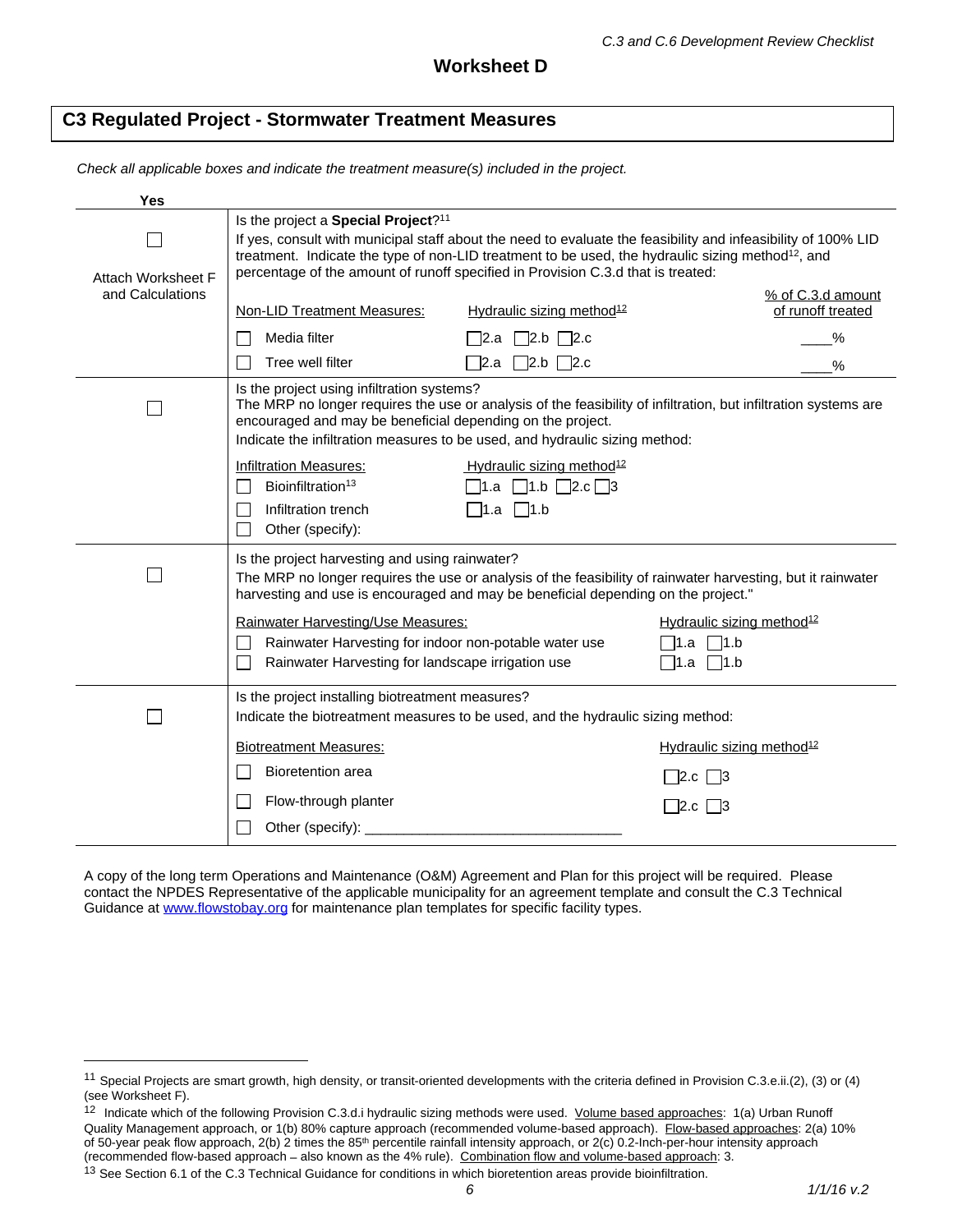## **C3 Regulated Project - Stormwater Treatment Measures**

*Check all applicable boxes and indicate the treatment measure(s) included in the project.*

| Yes                       |                                                                                                                                                                                                                                                                                                                                                                       |                                                                                                     |                                                                                                                 |  |
|---------------------------|-----------------------------------------------------------------------------------------------------------------------------------------------------------------------------------------------------------------------------------------------------------------------------------------------------------------------------------------------------------------------|-----------------------------------------------------------------------------------------------------|-----------------------------------------------------------------------------------------------------------------|--|
| <b>Attach Worksheet F</b> | Is the project a Special Project? <sup>11</sup><br>If yes, consult with municipal staff about the need to evaluate the feasibility and infeasibility of 100% LID<br>treatment. Indicate the type of non-LID treatment to be used, the hydraulic sizing method <sup>12</sup> , and<br>percentage of the amount of runoff specified in Provision C.3.d that is treated: |                                                                                                     |                                                                                                                 |  |
| and Calculations          | <b>Non-LID Treatment Measures:</b>                                                                                                                                                                                                                                                                                                                                    | Hydraulic sizing method <sup>12</sup>                                                               | % of C.3.d amount<br>of runoff treated                                                                          |  |
|                           | Media filter<br>Tree well filter                                                                                                                                                                                                                                                                                                                                      | $\Box$ 2.b $\Box$ 2.c<br>¯2.a<br>72.a   72.b   72.c                                                 | %<br>%                                                                                                          |  |
|                           | Is the project using infiltration systems?<br>encouraged and may be beneficial depending on the project.<br>Indicate the infiltration measures to be used, and hydraulic sizing method:                                                                                                                                                                               |                                                                                                     | The MRP no longer requires the use or analysis of the feasibility of infiltration, but infiltration systems are |  |
|                           | <b>Infiltration Measures:</b><br>Bioinfiltration <sup>13</sup><br>Infiltration trench<br>Other (specify):                                                                                                                                                                                                                                                             | Hydraulic sizing method <sup>12</sup><br>$\lceil 1.a \rceil 1.b \rceil 2.c \rceil 3$<br>_1.a   _1.b |                                                                                                                 |  |
|                           | Is the project harvesting and using rainwater?<br>harvesting and use is encouraged and may be beneficial depending on the project."                                                                                                                                                                                                                                   |                                                                                                     | The MRP no longer requires the use or analysis of the feasibility of rainwater harvesting, but it rainwater     |  |
|                           | <b>Rainwater Harvesting/Use Measures:</b><br>Rainwater Harvesting for indoor non-potable water use<br>Rainwater Harvesting for landscape irrigation use                                                                                                                                                                                                               |                                                                                                     | Hydraulic sizing method <sup>12</sup><br>∏1.a ∏1.b                                                              |  |
|                           | Is the project installing biotreatment measures?<br>Indicate the biotreatment measures to be used, and the hydraulic sizing method:                                                                                                                                                                                                                                   |                                                                                                     |                                                                                                                 |  |
|                           | <b>Biotreatment Measures:</b>                                                                                                                                                                                                                                                                                                                                         |                                                                                                     | Hydraulic sizing method <sup>12</sup>                                                                           |  |
|                           | <b>Bioretention area</b>                                                                                                                                                                                                                                                                                                                                              |                                                                                                     | $2.c$   3                                                                                                       |  |
|                           | Flow-through planter                                                                                                                                                                                                                                                                                                                                                  |                                                                                                     | ∃2.c ∐3                                                                                                         |  |
|                           | Other (specify): _____                                                                                                                                                                                                                                                                                                                                                |                                                                                                     |                                                                                                                 |  |

A copy of the long term Operations and Maintenance (O&M) Agreement and Plan for this project will be required. Please contact the NPDES Representative of the applicable municipality for an agreement template and consult the C.3 Technical Guidance at [www.flowstobay.org](http://www.flowstobay.org) for maintenance plan templates for specific facility types.

<sup>12</sup> Indicate which of the following Provision C.3.d.i hydraulic sizing methods were used. Volume based approaches: 1(a) Urban Runoff Quality Management approach, or 1(b) 80% capture approach (recommended volume-based approach). Flow-based approaches: 2(a) 10% of 50-year peak flow approach, 2(b) 2 times the 85<sup>th</sup> percentile rainfall intensity approach, or 2(c) 0.2-Inch-per-hour intensity approach (recommended flow-based approach – also known as the 4% rule). Combination flow and volume-based approach: 3.

<sup>11</sup> Special Projects are smart growth, high density, or transit-oriented developments with the criteria defined in Provision C.3.e.ii.(2), (3) or (4) (see Worksheet F).

<sup>&</sup>lt;sup>13</sup> See Section 6.1 of the C.3 Technical Guidance for conditions in which bioretention areas provide bioinfiltration.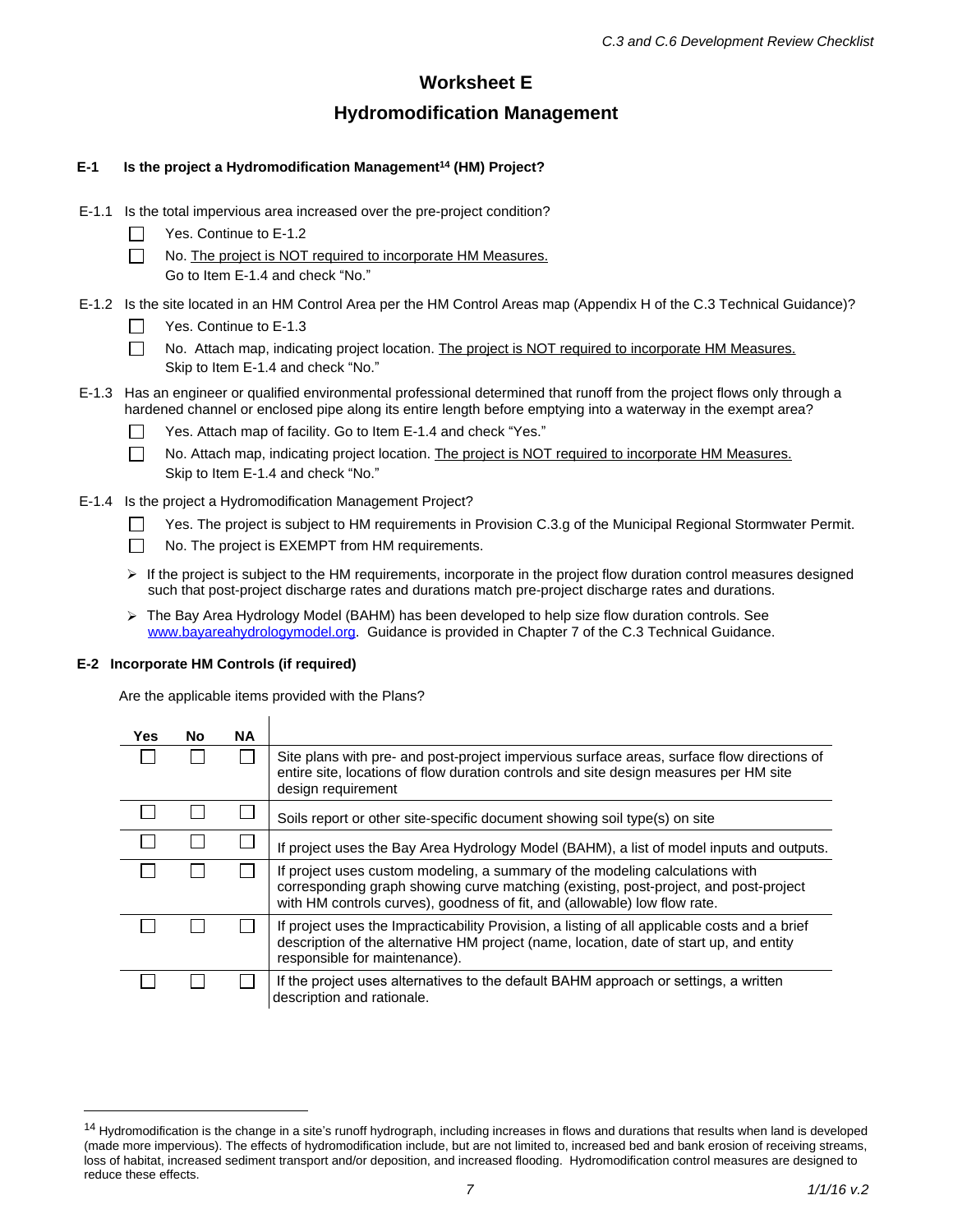# **Worksheet E Hydromodification Management**

#### **E-1 Is the project a Hydromodification Management<sup>14</sup> (HM) Project?**

- E-1.1 Is the total impervious area increased over the pre-project condition?
	- Yes. Continue to E-1.2  $\Box$
	- $\Box$ No. The project is NOT required to incorporate HM Measures. Go to Item E-1.4 and check "No."
- E-1.2 Is the site located in an HM Control Area per the HM Control Areas map (Appendix H of the C.3 Technical Guidance)?
	- $\Box$ Yes. Continue to E-1.3
	- $\Box$ No. Attach map, indicating project location. The project is NOT required to incorporate HM Measures. Skip to Item E-1.4 and check "No."
- E-1.3 Has an engineer or qualified environmental professional determined that runoff from the project flows only through a hardened channel or enclosed pipe along its entire length before emptying into a waterway in the exempt area?
	- П Yes. Attach map of facility. Go to Item E-1.4 and check "Yes."
	- $\Box$ No. Attach map, indicating project location. The project is NOT required to incorporate HM Measures. Skip to Item E-1.4 and check "No."
- E-1.4 Is the project a Hydromodification Management Project?
	- Yes. The project is subject to HM requirements in Provision C.3.g of the Municipal Regional Stormwater Permit. П
	- $\Box$ No. The project is EXEMPT from HM requirements.
	- $\triangleright$  If the project is subject to the HM requirements, incorporate in the project flow duration control measures designed such that post-project discharge rates and durations match pre-project discharge rates and durations.
	- $\triangleright$  The Bay Area Hydrology Model (BAHM) has been developed to help size flow duration controls. See [www.bayareahydrologymodel.org.](http://www.bayareahydrologymodel.org/) Guidance is provided in Chapter 7 of the C.3 Technical Guidance.

#### **E-2 Incorporate HM Controls (if required)**

Are the applicable items provided with the Plans?

| Yes. | No. | ΝA |                                                                                                                                                                                                                                                   |
|------|-----|----|---------------------------------------------------------------------------------------------------------------------------------------------------------------------------------------------------------------------------------------------------|
|      |     |    | Site plans with pre- and post-project impervious surface areas, surface flow directions of<br>entire site, locations of flow duration controls and site design measures per HM site<br>design requirement                                         |
|      |     |    | Soils report or other site-specific document showing soil type(s) on site                                                                                                                                                                         |
|      |     |    | If project uses the Bay Area Hydrology Model (BAHM), a list of model inputs and outputs.                                                                                                                                                          |
|      |     |    | If project uses custom modeling, a summary of the modeling calculations with<br>corresponding graph showing curve matching (existing, post-project, and post-project<br>with HM controls curves), goodness of fit, and (allowable) low flow rate. |
|      |     |    | If project uses the Impracticability Provision, a listing of all applicable costs and a brief<br>description of the alternative HM project (name, location, date of start up, and entity<br>responsible for maintenance).                         |
|      |     |    | If the project uses alternatives to the default BAHM approach or settings, a written<br>description and rationale.                                                                                                                                |

<sup>&</sup>lt;sup>14</sup> Hydromodification is the change in a site's runoff hydrograph, including increases in flows and durations that results when land is developed (made more impervious). The effects of hydromodification include, but are not limited to, increased bed and bank erosion of receiving streams, loss of habitat, increased sediment transport and/or deposition, and increased flooding. Hydromodification control measures are designed to reduce these effects.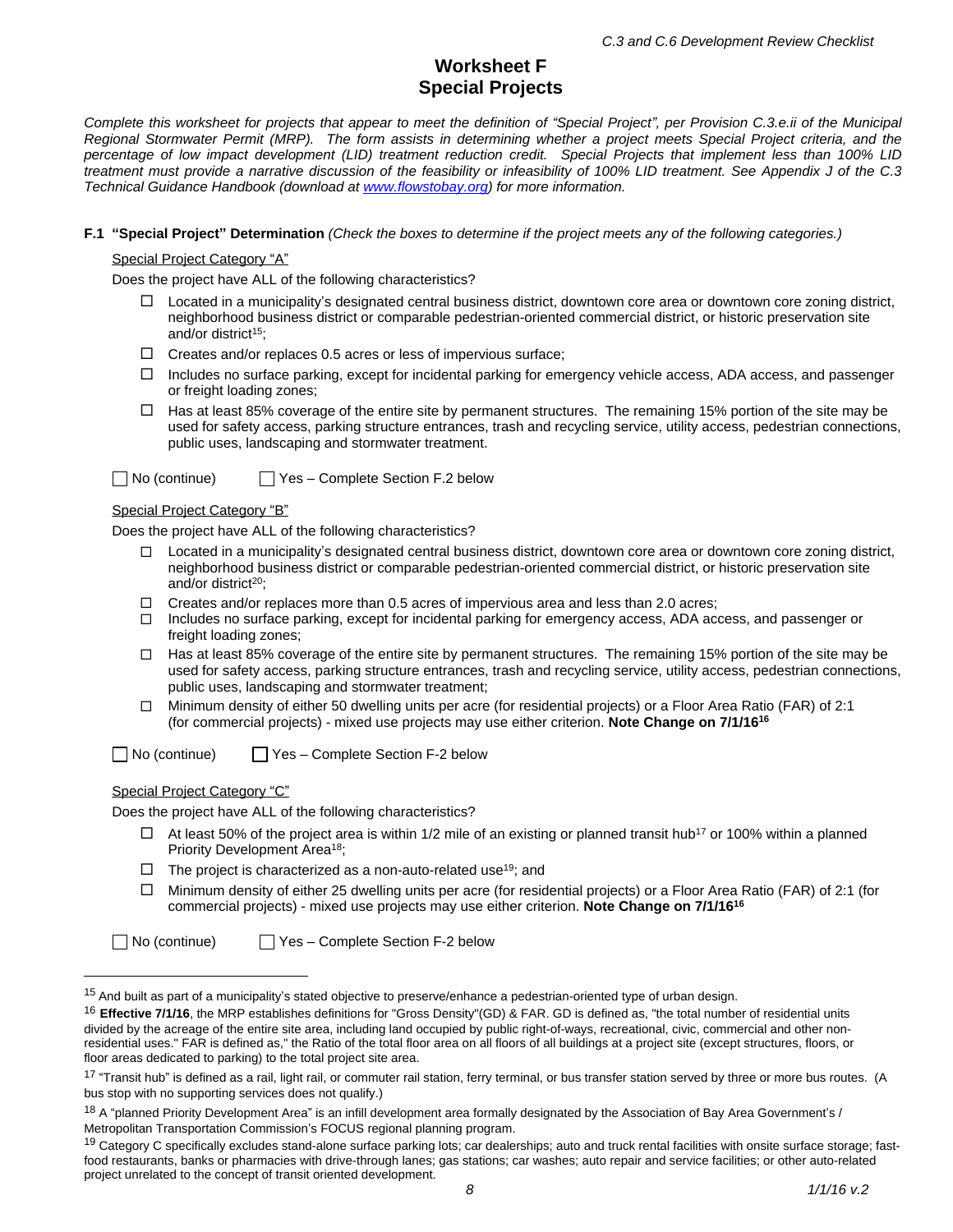# **Worksheet F Special Projects**

Complete this worksheet for projects that appear to meet the definition of "Special Project", per Provision C.3.e.ii of the Municipal Regional Stormwater Permit (MRP). The form assists in determining whether a project meets Special Project criteria, and the percentage of low impact development (LID) treatment reduction credit. Special Projects that implement less than 100% LID treatment must provide a narrative discussion of the feasibility or infeasibility of 100% LID treatment. See Appendix J of the C.3 *Technical Guidance Handbook (download at [www.flowstobay.org\)](http://www.flowstobay.org) for more information.*

#### **F.1 "Special Project" Determination** *(Check the boxes to determine if the project meets any of the following categories.)*

Special Project Category "A"

Does the project have ALL of the following characteristics?

- $\Box$  Located in a municipality's designated central business district, downtown core area or downtown core zoning district, neighborhood business district or comparable pedestrian-oriented commercial district, or historic preservation site and/or district<sup>15</sup>:
- $\Box$  Creates and/or replaces 0.5 acres or less of impervious surface;
- $\Box$  Includes no surface parking, except for incidental parking for emergency vehicle access, ADA access, and passenger or freight loading zones;
- $\Box$  Has at least 85% coverage of the entire site by permanent structures. The remaining 15% portion of the site may be used for safety access, parking structure entrances, trash and recycling service, utility access, pedestrian connections, public uses, landscaping and stormwater treatment.

| $\Box$ No (continue)<br>$\Box$ Yes – Complete Section F.2 below |
|-----------------------------------------------------------------|
|-----------------------------------------------------------------|

#### Special Project Category "B"

Does the project have ALL of the following characteristics?

- $\Box$  Located in a municipality's designated central business district, downtown core area or downtown core zoning district, neighborhood business district or comparable pedestrian-oriented commercial district, or historic preservation site and/or district<sup>20</sup>;
- $\Box$  Creates and/or replaces more than 0.5 acres of impervious area and less than 2.0 acres;
- Includes no surface parking, except for incidental parking for emergency access, ADA access, and passenger or freight loading zones;
- $\Box$  Has at least 85% coverage of the entire site by permanent structures. The remaining 15% portion of the site may be used for safety access, parking structure entrances, trash and recycling service, utility access, pedestrian connections, public uses, landscaping and stormwater treatment;
- $\Box$  Minimum density of either 50 dwelling units per acre (for residential projects) or a Floor Area Ratio (FAR) of 2:1 (for commercial projects) - mixed use projects may use either criterion. **Note Change on 7/1/16<sup>16</sup>**

 $\Box$  No (continue)  $\Box$  Yes – Complete Section F-2 below

#### Special Project Category "C"

Does the project have ALL of the following characteristics?

- $\Box$  At least 50% of the project area is within 1/2 mile of an existing or planned transit hub<sup>17</sup> or 100% within a planned Priority Development Area<sup>18</sup>;
- $\Box$  The project is characterized as a non-auto-related use<sup>19</sup>; and
- $\Box$  Minimum density of either 25 dwelling units per acre (for residential projects) or a Floor Area Ratio (FAR) of 2:1 (for commercial projects) - mixed use projects may use either criterion. **Note Change on 7/1/16<sup>16</sup>**

No (continue) Yes – Complete Section F-2 below

<sup>&</sup>lt;sup>15</sup> And built as part of a municipality's stated objective to preserve/enhance a pedestrian-oriented type of urban design.

<sup>16</sup> **Effective 7/1/16**, the MRP establishes definitions for "Gross Density"(GD) & FAR. GD is defined as, "the total number of residential units divided by the acreage of the entire site area, including land occupied by public right-of-ways, recreational, civic, commercial and other nonresidential uses." FAR is defined as," the Ratio of the total floor area on all floors of all buildings at a project site (except structures, floors, or floor areas dedicated to parking) to the total project site area.

<sup>&</sup>lt;sup>17</sup> "Transit hub" is defined as a rail, light rail, or commuter rail station, ferry terminal, or bus transfer station served by three or more bus routes. (A bus stop with no supporting services does not qualify.)

<sup>18</sup> A "planned Priority Development Area" is an infill development area formally designated by the Association of Bay Area Government's / Metropolitan Transportation Commission's FOCUS regional planning program.

<sup>&</sup>lt;sup>19</sup> Category C specifically excludes stand-alone surface parking lots; car dealerships; auto and truck rental facilities with onsite surface storage; fastfood restaurants, banks or pharmacies with drive-through lanes; gas stations; car washes; auto repair and service facilities; or other auto-related project unrelated to the concept of transit oriented development.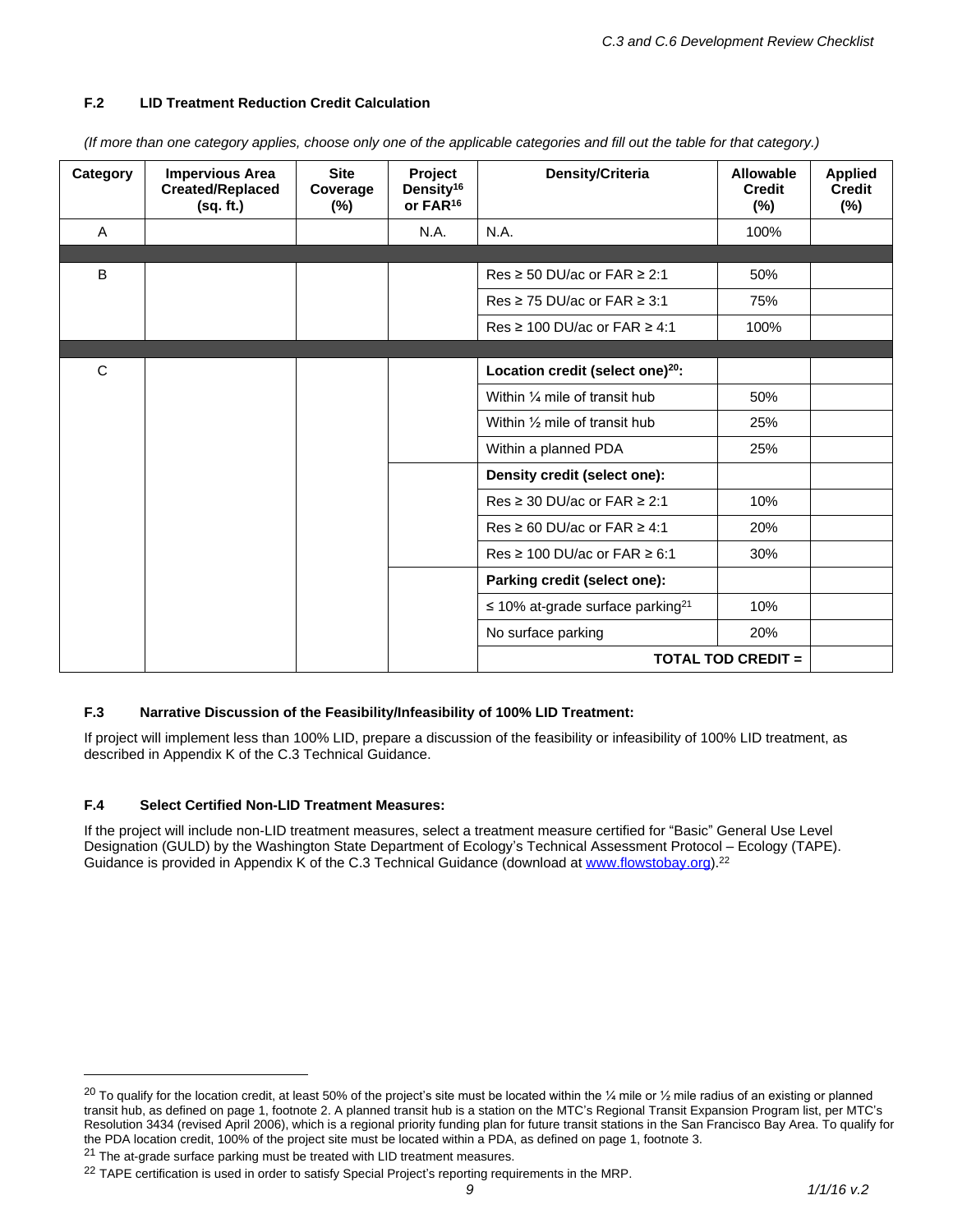### **F.2 LID Treatment Reduction Credit Calculation**

| Category | <b>Impervious Area</b><br><b>Created/Replaced</b><br>(sq. ft.) | <b>Site</b><br>Coverage<br>$(\%)$ | Project<br>Density <sup>16</sup><br>or FAR <sup>16</sup> | Density/Criteria                                  | <b>Allowable</b><br><b>Credit</b><br>$(\%)$ | <b>Applied</b><br><b>Credit</b><br>$(\%)$ |
|----------|----------------------------------------------------------------|-----------------------------------|----------------------------------------------------------|---------------------------------------------------|---------------------------------------------|-------------------------------------------|
| A        |                                                                |                                   | N.A.                                                     | N.A.                                              | 100%                                        |                                           |
|          |                                                                |                                   |                                                          |                                                   |                                             |                                           |
| B        |                                                                |                                   |                                                          | Res ≥ 50 DU/ac or FAR ≥ 2:1                       | 50%                                         |                                           |
|          |                                                                |                                   |                                                          | Res ≥ 75 DU/ac or FAR ≥ 3:1                       | 75%                                         |                                           |
|          |                                                                |                                   |                                                          | Res ≥ 100 DU/ac or FAR $≥$ 4:1                    | 100%                                        |                                           |
|          |                                                                |                                   |                                                          |                                                   |                                             |                                           |
| C        |                                                                |                                   |                                                          | Location credit (select one) <sup>20</sup> :      |                                             |                                           |
|          |                                                                |                                   |                                                          | Within 1/4 mile of transit hub                    | 50%                                         |                                           |
|          |                                                                |                                   |                                                          | Within 1/2 mile of transit hub                    | 25%                                         |                                           |
|          |                                                                |                                   |                                                          | Within a planned PDA                              | 25%                                         |                                           |
|          |                                                                |                                   |                                                          | Density credit (select one):                      |                                             |                                           |
|          |                                                                |                                   |                                                          | $Res \ge 30$ DU/ac or FAR $\ge 2:1$               | 10%                                         |                                           |
|          |                                                                |                                   |                                                          | $Res \ge 60$ DU/ac or FAR $\ge 4:1$               | 20%                                         |                                           |
|          |                                                                |                                   |                                                          | Res ≥ 100 DU/ac or FAR $≥$ 6:1                    | 30%                                         |                                           |
|          |                                                                |                                   |                                                          | Parking credit (select one):                      |                                             |                                           |
|          |                                                                |                                   |                                                          | $\leq$ 10% at-grade surface parking <sup>21</sup> | 10%                                         |                                           |
|          |                                                                |                                   |                                                          | No surface parking                                | 20%                                         |                                           |
|          |                                                                |                                   |                                                          |                                                   | <b>TOTAL TOD CREDIT =</b>                   |                                           |

*(If more than one category applies, choose only one of the applicable categories and fill out the table for that category.)*

#### **F.3 Narrative Discussion of the Feasibility/Infeasibility of 100% LID Treatment:**

If project will implement less than 100% LID, prepare a discussion of the feasibility or infeasibility of 100% LID treatment, as described in Appendix K of the C.3 Technical Guidance.

#### **F.4 Select Certified Non-LID Treatment Measures:**

If the project will include non-LID treatment measures, select a treatment measure certified for "Basic" General Use Level Designation (GULD) by the Washington State Department of Ecology's Technical Assessment Protocol – Ecology (TAPE). Guidance is provided in Appendix K of the C.3 Technical Guidance (download at [www.flowstobay.org\)](http://www.flowstobay.org).<sup>22</sup>

 $21$  The at-grade surface parking must be treated with LID treatment measures.

<sup>&</sup>lt;sup>20</sup> To qualify for the location credit, at least 50% of the project's site must be located within the  $\frac{1}{4}$  mile or  $\frac{1}{2}$  mile radius of an existing or planned transit hub, as defined on page 1, footnote 2. A planned transit hub is a station on the MTC's Regional Transit Expansion Program list, per MTC's Resolution 3434 (revised April 2006), which is a regional priority funding plan for future transit stations in the San Francisco Bay Area. To qualify for the PDA location credit, 100% of the project site must be located within a PDA, as defined on page 1, footnote 3.

<sup>&</sup>lt;sup>22</sup> TAPE certification is used in order to satisfy Special Project's reporting requirements in the MRP.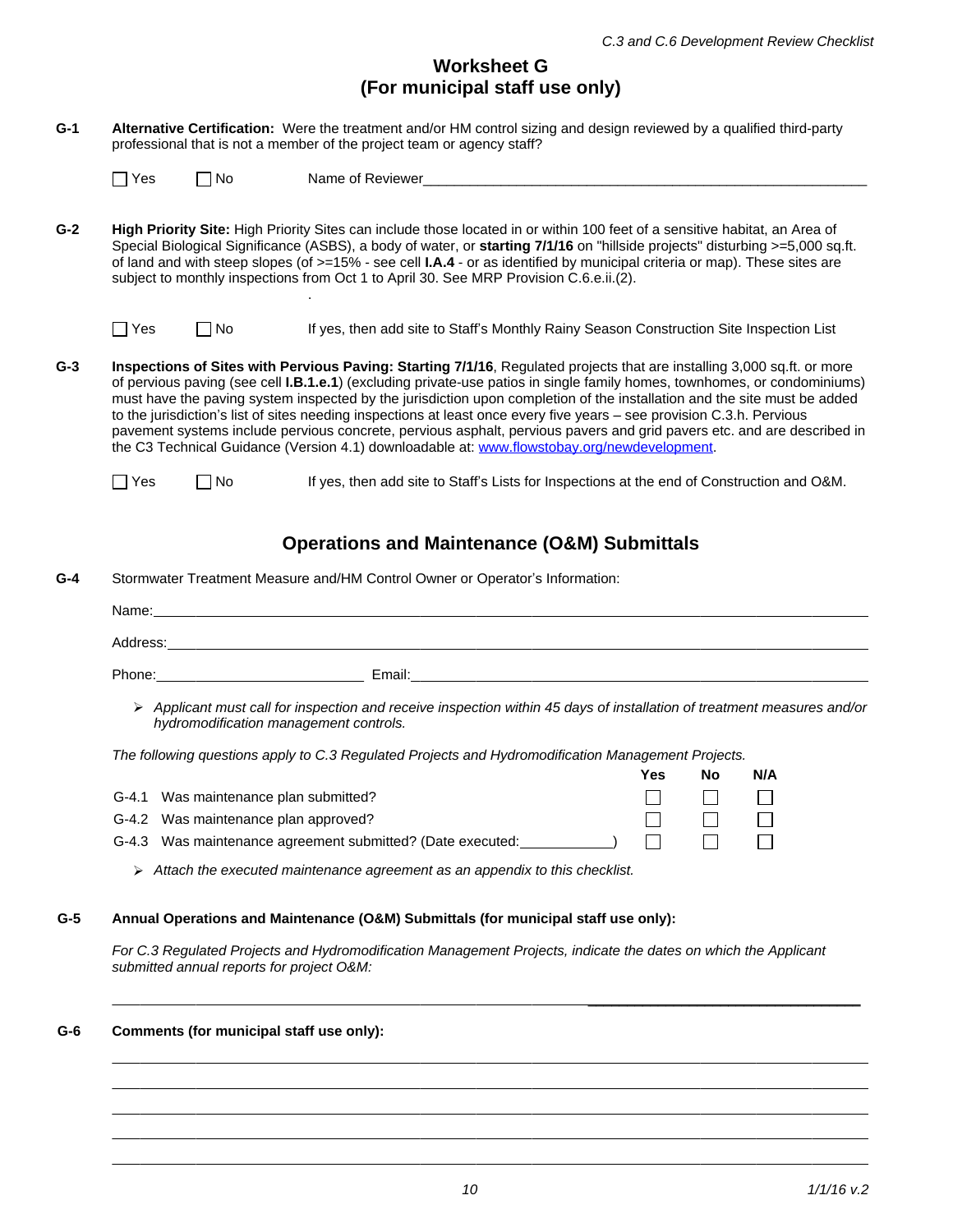## **Worksheet G (For municipal staff use only)**

| $G-1$ | Alternative Certification: Were the treatment and/or HM control sizing and design reviewed by a qualified third-party<br>professional that is not a member of the project team or agency staff?                                                                                                                                                                                                                                                                                                                                                                                                                                                                                                                                              |           |                                                                                            |  |  |  |  |  |
|-------|----------------------------------------------------------------------------------------------------------------------------------------------------------------------------------------------------------------------------------------------------------------------------------------------------------------------------------------------------------------------------------------------------------------------------------------------------------------------------------------------------------------------------------------------------------------------------------------------------------------------------------------------------------------------------------------------------------------------------------------------|-----------|--------------------------------------------------------------------------------------------|--|--|--|--|--|
|       | $\Box$ Yes                                                                                                                                                                                                                                                                                                                                                                                                                                                                                                                                                                                                                                                                                                                                   | $\Box$ No | Name of Reviewer                                                                           |  |  |  |  |  |
| $G-2$ | <b>High Priority Site:</b> High Priority Sites can include those located in or within 100 feet of a sensitive habitat, an Area of<br>Special Biological Significance (ASBS), a body of water, or starting 7/1/16 on "hillside projects" disturbing >=5,000 sq.ft.<br>of land and with steep slopes (of >=15% - see cell <b>I.A.4</b> - or as identified by municipal criteria or map). These sites are<br>subject to monthly inspections from Oct 1 to April 30. See MRP Provision C.6.e.ii.(2).                                                                                                                                                                                                                                             |           |                                                                                            |  |  |  |  |  |
|       | Yes                                                                                                                                                                                                                                                                                                                                                                                                                                                                                                                                                                                                                                                                                                                                          | $\Box$ No | If yes, then add site to Staff's Monthly Rainy Season Construction Site Inspection List    |  |  |  |  |  |
| $G-3$ | Inspections of Sites with Pervious Paving: Starting 7/1/16, Regulated projects that are installing 3,000 sq.ft. or more<br>of pervious paving (see cell <b>I.B.1.e.1</b> ) (excluding private-use patios in single family homes, townhomes, or condominiums)<br>must have the paving system inspected by the jurisdiction upon completion of the installation and the site must be added<br>to the jurisdiction's list of sites needing inspections at least once every five years - see provision C.3.h. Pervious<br>pavement systems include pervious concrete, pervious asphalt, pervious pavers and grid pavers etc. and are described in<br>the C3 Technical Guidance (Version 4.1) downloadable at: www.flowstobay.org/newdevelopment. |           |                                                                                            |  |  |  |  |  |
|       | $\Box$ Yes                                                                                                                                                                                                                                                                                                                                                                                                                                                                                                                                                                                                                                                                                                                                   | $\Box$ No | If yes, then add site to Staff's Lists for Inspections at the end of Construction and O&M. |  |  |  |  |  |
|       |                                                                                                                                                                                                                                                                                                                                                                                                                                                                                                                                                                                                                                                                                                                                              |           | <b>Operations and Maintenance (O&amp;M) Submittals</b>                                     |  |  |  |  |  |
| $G-4$ | Stormwater Treatment Measure and/HM Control Owner or Operator's Information:                                                                                                                                                                                                                                                                                                                                                                                                                                                                                                                                                                                                                                                                 |           |                                                                                            |  |  |  |  |  |
|       | Name:                                                                                                                                                                                                                                                                                                                                                                                                                                                                                                                                                                                                                                                                                                                                        |           |                                                                                            |  |  |  |  |  |
|       | Address:                                                                                                                                                                                                                                                                                                                                                                                                                                                                                                                                                                                                                                                                                                                                     |           |                                                                                            |  |  |  |  |  |

Phone: Email: Email:

 *Applicant must call for inspection and receive inspection within 45 days of installation of treatment measures and/or hydromodification management controls.* 

*The following questions apply to C.3 Regulated Projects and Hydromodification Management Projects.*

|                                                                                        | Yes | No                                            | N/A |
|----------------------------------------------------------------------------------------|-----|-----------------------------------------------|-----|
| G-4.1 Was maintenance plan submitted?                                                  |     | $\Box \qquad \Box \qquad \Box$                |     |
| G-4.2 Was maintenance plan approved?                                                   |     | <b>The Communication of the Communication</b> |     |
| G-4.3 Was maintenance agreement submitted? (Date executed: ____________) $\Box$ $\Box$ |     |                                               |     |

*Attach the executed maintenance agreement as an appendix to this checklist.*

## **G-5 Annual Operations and Maintenance (O&M) Submittals (for municipal staff use only):**

*For C.3 Regulated Projects and Hydromodification Management Projects, indicate the dates on which the Applicant submitted annual reports for project O&M:*

 $\_$  . The contribution of the contribution of the contribution of  $\mathcal{L}_\mathbf{z}$ 

## **G-6 Comments (for municipal staff use only):**

 $\overline{a}$  $\overline{a}$  $\overline{a}$  $\overline{a}$  $\overline{a}$